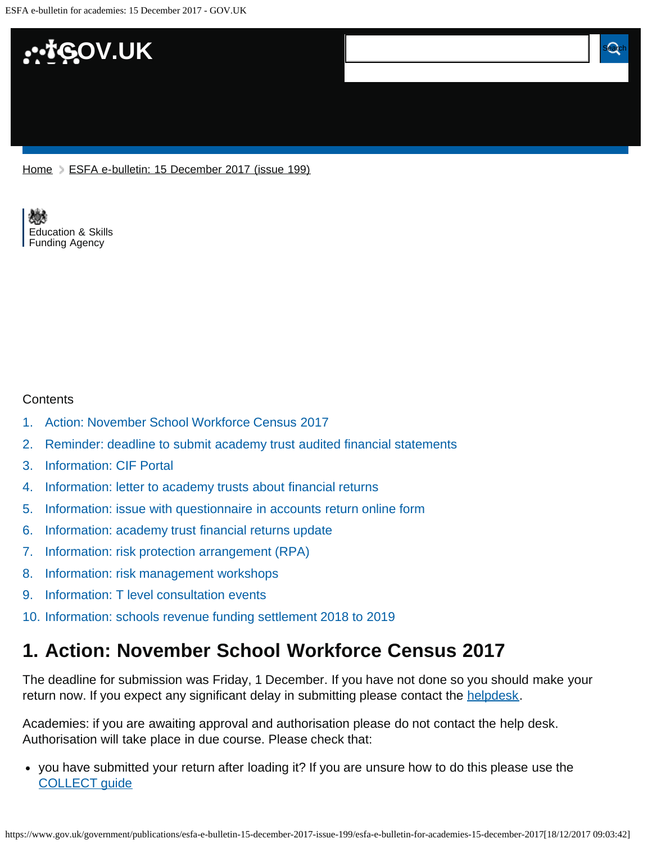

[Home](https://www.gov.uk/) > [ESFA e-bulletin: 15 December 2017 \(issue 199\)](https://www.gov.uk/government/publications/esfa-e-bulletin-15-december-2017-issue-199)

[Education & Skills](https://www.gov.uk/government/organisations/education-and-skills-funding-agency)  [Funding Agency](https://www.gov.uk/government/organisations/education-and-skills-funding-agency)

#### **Contents**

- [1.](#page-0-0) [Action: November School Workforce Census 2017](#page-0-0)
- [2.](#page-1-0) [Reminder: deadline to submit academy trust audited financial statements](#page-1-0)
- [3.](#page-1-1) [Information: CIF Portal](#page-1-1)
- [4.](#page-1-2) [Information: letter to academy trusts about financial returns](#page-1-2)
- [5.](#page-2-0) [Information: issue with questionnaire in accounts return online form](#page-2-0)
- [6.](#page-2-1) [Information: academy trust financial returns update](#page-2-1)
- [7.](#page-3-0) [Information: risk protection arrangement \(RPA\)](#page-3-0)
- [8.](#page-3-1) [Information: risk management workshops](#page-3-1)
- [9.](#page-4-0) [Information: T level consultation events](#page-4-0)
- [10.](#page-4-1) [Information: schools revenue funding settlement 2018 to 2019](#page-4-1)

### <span id="page-0-0"></span>**1. Action: November School Workforce Census 2017**

The deadline for submission was Friday, 1 December. If you have not done so you should make your return now. If you expect any significant delay in submitting please contact the [helpdesk.](https://www.education.gov.uk/researchandstatistics/stats/requestform)

Academies: if you are awaiting approval and authorisation please do not contact the help desk. Authorisation will take place in due course. Please check that:

you have submitted your return after loading it? If you are unsure how to do this please use the [COLLECT guide](https://www.gov.uk/government/publications/collect-guides-for-schools-and-local-authorities)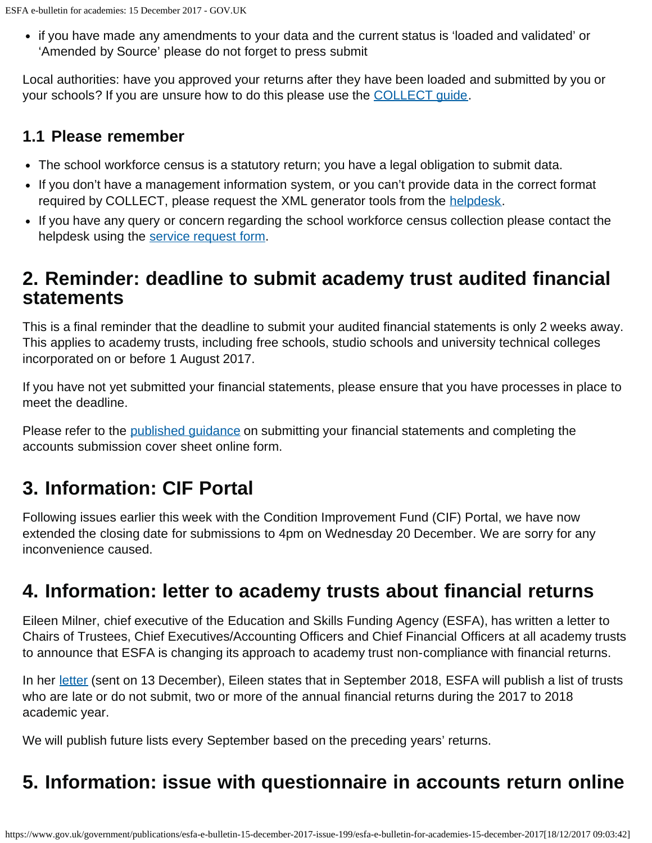if you have made any amendments to your data and the current status is 'loaded and validated' or 'Amended by Source' please do not forget to press submit

Local authorities: have you approved your returns after they have been loaded and submitted by you or your schools? If you are unsure how to do this please use the [COLLECT guide.](https://www.gov.uk/government/publications/collect-guides-for-schools-and-local-authorities)

### **1.1 Please remember**

- The school workforce census is a statutory return; you have a legal obligation to submit data.
- If you don't have a management information system, or you can't provide data in the correct format required by COLLECT, please request the XML generator tools from the [helpdesk.](https://www.education.gov.uk/researchandstatistics/stats/requestform)
- If you have any query or concern regarding the school workforce census collection please contact the helpdesk using the [service request form.](https://www.education.gov.uk/researchandstatistics/stats/requestform)

### <span id="page-1-0"></span>**2. Reminder: deadline to submit academy trust audited financial statements**

This is a final reminder that the deadline to submit your audited financial statements is only 2 weeks away. This applies to academy trusts, including free schools, studio schools and university technical colleges incorporated on or before 1 August 2017.

If you have not yet submitted your financial statements, please ensure that you have processes in place to meet the deadline.

Please refer to the [published guidance](https://www.gov.uk/guidance/academies-accounts-direction#submit-your-2016-to-2017-financial-statements) on submitting your financial statements and completing the accounts submission cover sheet online form.

# <span id="page-1-1"></span>**3. Information: CIF Portal**

Following issues earlier this week with the Condition Improvement Fund (CIF) Portal, we have now extended the closing date for submissions to 4pm on Wednesday 20 December. We are sorry for any inconvenience caused.

## <span id="page-1-2"></span>**4. Information: letter to academy trusts about financial returns**

Eileen Milner, chief executive of the Education and Skills Funding Agency (ESFA), has written a letter to Chairs of Trustees, Chief Executives/Accounting Officers and Chief Financial Officers at all academy trusts to announce that ESFA is changing its approach to academy trust non-compliance with financial returns.

In her [letter](https://www.gov.uk/government/publications/letter-to-academy-trusts-december-2017) (sent on 13 December), Eileen states that in September 2018, ESFA will publish a list of trusts who are late or do not submit, two or more of the annual financial returns during the 2017 to 2018 academic year.

We will publish future lists every September based on the preceding years' returns.

## **5. Information: issue with questionnaire in accounts return online**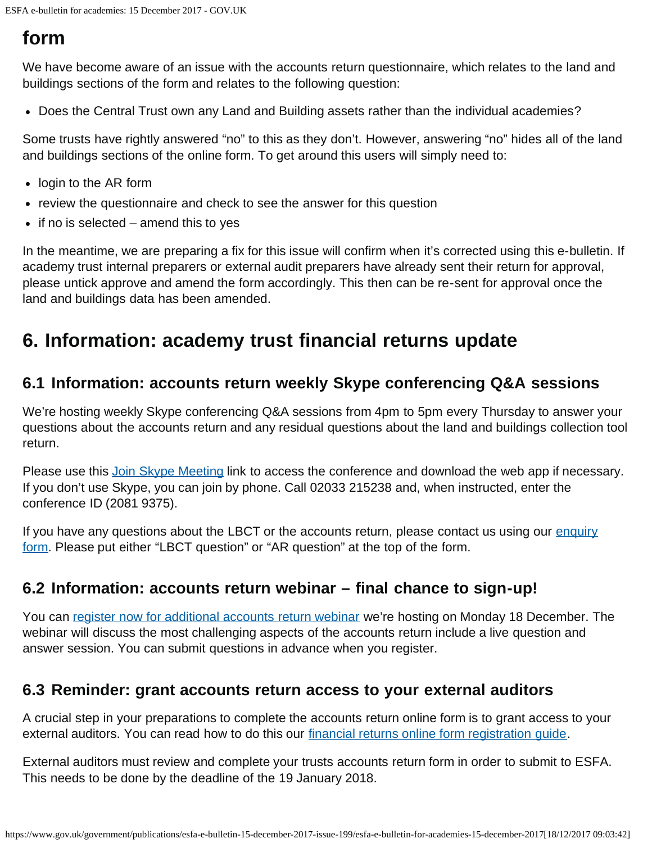## <span id="page-2-0"></span>**form**

We have become aware of an issue with the accounts return questionnaire, which relates to the land and buildings sections of the form and relates to the following question:

Does the Central Trust own any Land and Building assets rather than the individual academies?

Some trusts have rightly answered "no" to this as they don't. However, answering "no" hides all of the land and buildings sections of the online form. To get around this users will simply need to:

- login to the AR form
- review the questionnaire and check to see the answer for this question
- $\bullet$  if no is selected amend this to yes

In the meantime, we are preparing a fix for this issue will confirm when it's corrected using this e-bulletin. If academy trust internal preparers or external audit preparers have already sent their return for approval, please untick approve and amend the form accordingly. This then can be re-sent for approval once the land and buildings data has been amended.

## <span id="page-2-1"></span>**6. Information: academy trust financial returns update**

#### **6.1 Information: accounts return weekly Skype conferencing Q&A sessions**

We're hosting weekly Skype conferencing Q&A sessions from 4pm to 5pm every Thursday to answer your questions about the accounts return and any residual questions about the land and buildings collection tool return.

Please use this [Join Skype Meeting](https://meet.lync.com/educationgovuk/bethan.jones/BG7JHBZ2) link to access the conference and download the web app if necessary. If you don't use Skype, you can join by phone. Call 02033 215238 and, when instructed, enter the conference ID (2081 9375).

If you have any questions about the LBCT or the accounts return, please contact us using our [enquiry](https://form.education.gov.uk/fillform.php?self=1&form_id=HR41uA2F8Dh&type=form&ShowMsg=1&form_name=Knowledge+centre+enquiry+form&noRegister=false&ret=%2Fmodule%2Fservices&noLoginPrompt=1) [form](https://form.education.gov.uk/fillform.php?self=1&form_id=HR41uA2F8Dh&type=form&ShowMsg=1&form_name=Knowledge+centre+enquiry+form&noRegister=false&ret=%2Fmodule%2Fservices&noLoginPrompt=1). Please put either "LBCT question" or "AR question" at the top of the form.

#### **6.2 Information: accounts return webinar – final chance to sign-up!**

You can [register now for additional accounts return webinar](https://registration.livegroup.co.uk/esfaacademywebinars/) we're hosting on Monday 18 December. The webinar will discuss the most challenging aspects of the accounts return include a live question and answer session. You can submit questions in advance when you register.

### **6.3 Reminder: grant accounts return access to your external auditors**

A crucial step in your preparations to complete the accounts return online form is to grant access to your external auditors. You can read how to do this our [financial returns online form registration guide.](https://www.gov.uk/guidance/academies-financial-returns-online-form-registration)

External auditors must review and complete your trusts accounts return form in order to submit to ESFA. This needs to be done by the deadline of the 19 January 2018.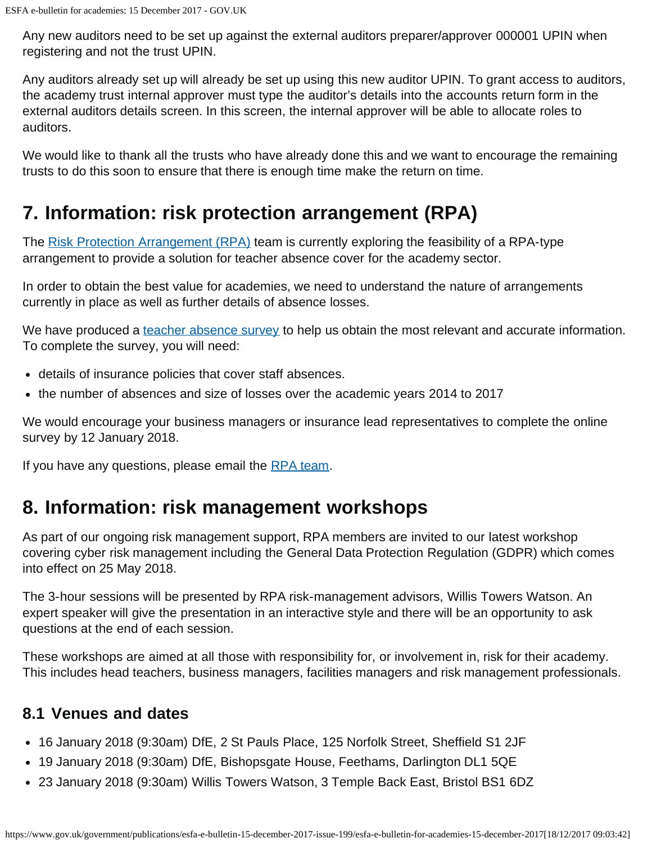Any new auditors need to be set up against the external auditors preparer/approver 000001 UPIN when registering and not the trust UPIN.

Any auditors already set up will already be set up using this new auditor UPIN. To grant access to auditors, the academy trust internal approver must type the auditor's details into the accounts return form in the external auditors details screen. In this screen, the internal approver will be able to allocate roles to auditors.

We would like to thank all the trusts who have already done this and we want to encourage the remaining trusts to do this soon to ensure that there is enough time make the return on time.

# <span id="page-3-0"></span>**7. Information: risk protection arrangement (RPA)**

The [Risk Protection Arrangement \(RPA\)](https://www.gov.uk/government/publications/risk-protection-arrangement-rpa-for-academy-trusts-membership-rules) team is currently exploring the feasibility of a RPA-type arrangement to provide a solution for teacher absence cover for the academy sector.

In order to obtain the best value for academies, we need to understand the nature of arrangements currently in place as well as further details of absence losses.

We have produced a [teacher absence survey](http://www.smartsurvey.co.uk/s/TeacherAbsence/) to help us obtain the most relevant and accurate information. To complete the survey, you will need:

- details of insurance policies that cover staff absences.
- the number of absences and size of losses over the academic years 2014 to 2017

We would encourage your business managers or insurance lead representatives to complete the online survey by 12 January 2018.

If you have any questions, please email the [RPA team.](mailto:Academies.RPA@education.gov.uk)

### <span id="page-3-1"></span>**8. Information: risk management workshops**

As part of our ongoing risk management support, RPA members are invited to our latest workshop covering cyber risk management including the General Data Protection Regulation (GDPR) which comes into effect on 25 May 2018.

The 3-hour sessions will be presented by RPA risk-management advisors, Willis Towers Watson. An expert speaker will give the presentation in an interactive style and there will be an opportunity to ask questions at the end of each session.

These workshops are aimed at all those with responsibility for, or involvement in, risk for their academy. This includes head teachers, business managers, facilities managers and risk management professionals.

#### **8.1 Venues and dates**

- 16 January 2018 (9:30am) DfE, 2 St Pauls Place, 125 Norfolk Street, Sheffield S1 2JF
- 19 January 2018 (9:30am) DfE, Bishopsgate House, Feethams, Darlington DL1 5QE
- 23 January 2018 (9:30am) Willis Towers Watson, 3 Temple Back East, Bristol BS1 6DZ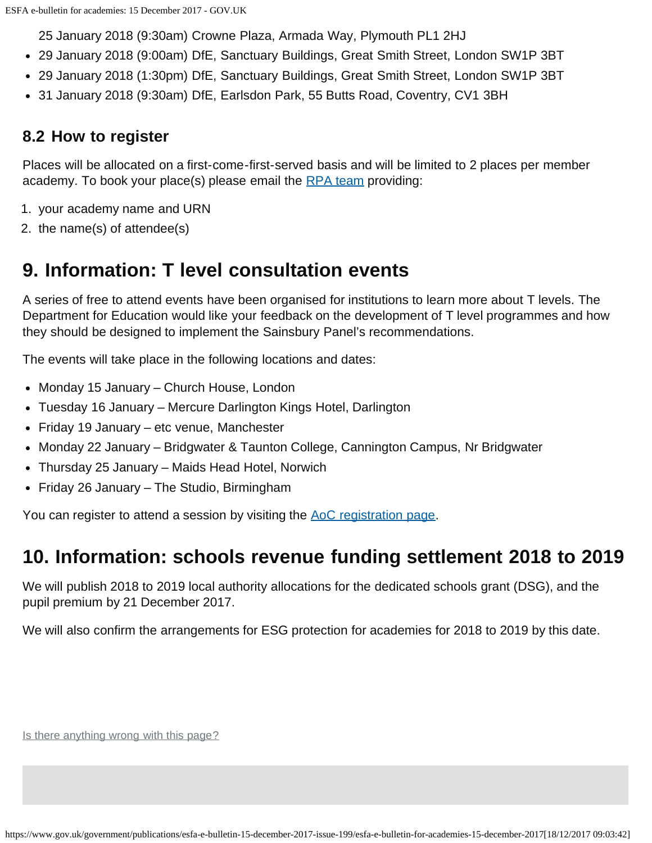25 January 2018 (9:30am) Crowne Plaza, Armada Way, Plymouth PL1 2HJ

- 29 January 2018 (9:00am) DfE, Sanctuary Buildings, Great Smith Street, London SW1P 3BT
- 29 January 2018 (1:30pm) DfE, Sanctuary Buildings, Great Smith Street, London SW1P 3BT
- 31 January 2018 (9:30am) DfE, Earlsdon Park, 55 Butts Road, Coventry, CV1 3BH

### **8.2 How to register**

Places will be allocated on a first-come-first-served basis and will be limited to 2 places per member academy. To book your place(s) please email the [RPA team](mailto:Academies.RPA@education.gov.uk) providing:

- 1. your academy name and URN
- 2. the name(s) of attendee(s)

## <span id="page-4-0"></span>**9. Information: T level consultation events**

A series of free to attend events have been organised for institutions to learn more about T levels. The Department for Education would like your feedback on the development of T level programmes and how they should be designed to implement the Sainsbury Panel's recommendations.

The events will take place in the following locations and dates:

- Monday 15 January Church House, London
- Tuesday 16 January Mercure Darlington Kings Hotel, Darlington
- Friday 19 January etc venue, Manchester
- Monday 22 January Bridgwater & Taunton College, Cannington Campus, Nr Bridgwater
- Thursday 25 January Maids Head Hotel, Norwich
- Friday 26 January The Studio, Birmingham

You can register to attend a session by visiting the [AoC registration page](https://www.aoc-create.co.uk/event/tlevel2018/).

### <span id="page-4-1"></span>**10. Information: schools revenue funding settlement 2018 to 2019**

We will publish 2018 to 2019 local authority allocations for the dedicated schools grant (DSG), and the pupil premium by 21 December 2017.

We will also confirm the arrangements for ESG protection for academies for 2018 to 2019 by this date.

Is there anything wrong with this page?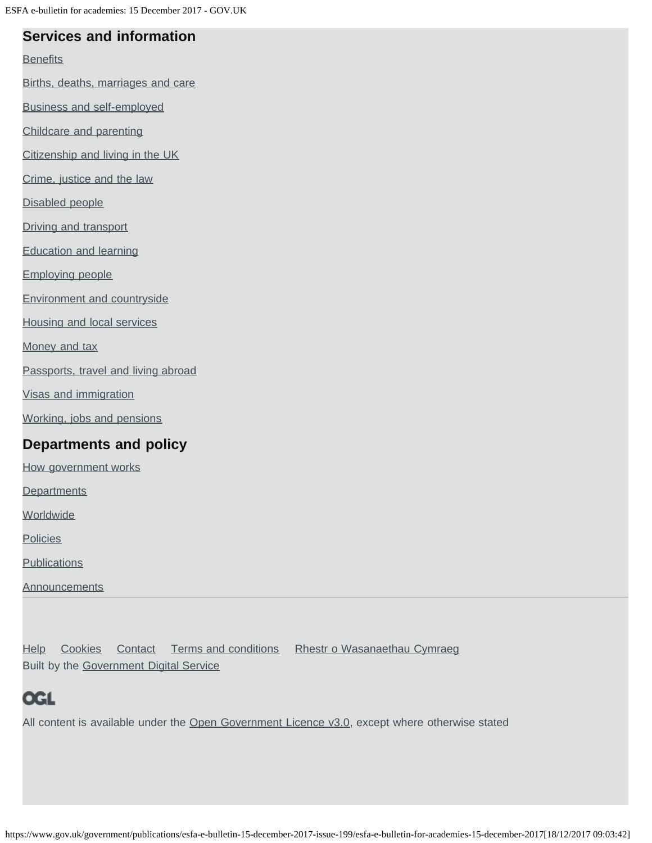#### **Services and information**

#### **[Benefits](https://www.gov.uk/browse/benefits)**

[Births, deaths, marriages and care](https://www.gov.uk/browse/births-deaths-marriages)

[Business and self-employed](https://www.gov.uk/browse/business)

[Childcare and parenting](https://www.gov.uk/browse/childcare-parenting)

[Citizenship and living in the UK](https://www.gov.uk/browse/citizenship)

[Crime, justice and the law](https://www.gov.uk/browse/justice)

[Disabled people](https://www.gov.uk/browse/disabilities)

[Driving and transport](https://www.gov.uk/browse/driving)

[Education and learning](https://www.gov.uk/browse/education)

[Employing people](https://www.gov.uk/browse/employing-people)

[Environment and countryside](https://www.gov.uk/browse/environment-countryside)

[Housing and local services](https://www.gov.uk/browse/housing-local-services)

[Money and tax](https://www.gov.uk/browse/tax)

[Passports, travel and living abroad](https://www.gov.uk/browse/abroad)

[Visas and immigration](https://www.gov.uk/browse/visas-immigration)

[Working, jobs and pensions](https://www.gov.uk/browse/working)

### **Departments and policy**

[How government works](https://www.gov.uk/government/how-government-works)

**[Departments](https://www.gov.uk/government/organisations)** 

**[Worldwide](https://www.gov.uk/world)** 

**[Policies](https://www.gov.uk/government/policies)** 

**[Publications](https://www.gov.uk/government/publications)** 

**[Announcements](https://www.gov.uk/government/announcements)** 

[Help](https://www.gov.uk/help) [Cookies](https://www.gov.uk/help/cookies) [Contact](https://www.gov.uk/contact) [Terms and conditions](https://www.gov.uk/help/terms-conditions) [Rhestr o Wasanaethau Cymraeg](https://www.gov.uk/cymraeg) Built by the [Government Digital Service](https://www.gov.uk/government/organisations/government-digital-service)

## **OGL**

All content is available under the [Open Government Licence v3.0,](https://www.nationalarchives.gov.uk/doc/open-government-licence/version/3/) except where otherwise stated